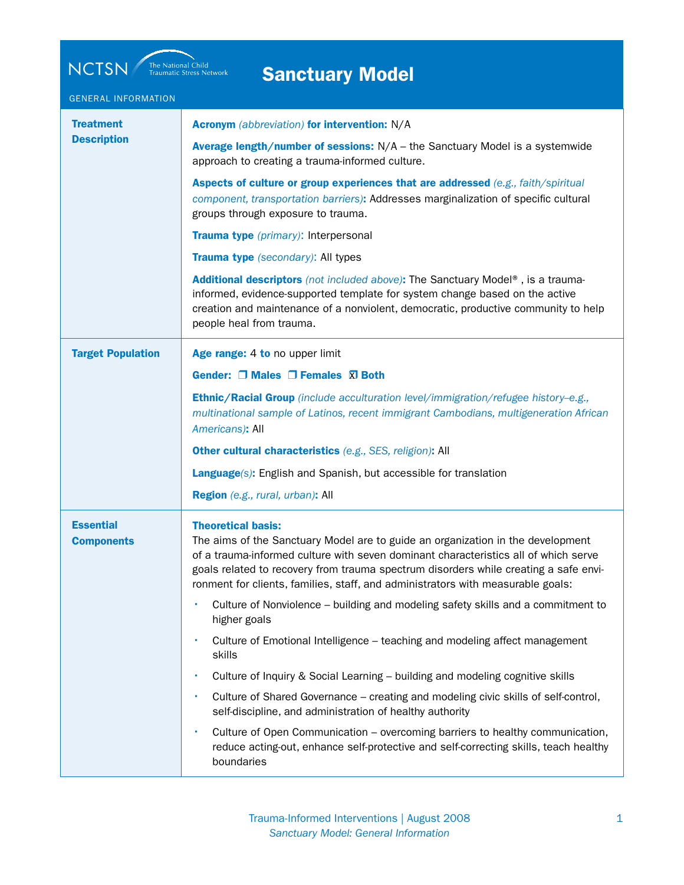| <b>Sanctuary Model</b> |  |
|------------------------|--|
|                        |  |
|                        |  |

NCTSN The National Child Traumatic Stress Network

| <b>GENERAL INFORMATION</b>             |                                                                                                                                                                                                                                                                                                                                                                                |
|----------------------------------------|--------------------------------------------------------------------------------------------------------------------------------------------------------------------------------------------------------------------------------------------------------------------------------------------------------------------------------------------------------------------------------|
| <b>Treatment</b><br><b>Description</b> | <b>Acronym</b> (abbreviation) for intervention: N/A                                                                                                                                                                                                                                                                                                                            |
|                                        | Average length/number of sessions: N/A - the Sanctuary Model is a systemwide<br>approach to creating a trauma-informed culture.                                                                                                                                                                                                                                                |
|                                        | Aspects of culture or group experiences that are addressed (e.g., faith/spiritual<br>component, transportation barriers): Addresses marginalization of specific cultural<br>groups through exposure to trauma.                                                                                                                                                                 |
|                                        | Trauma type (primary): Interpersonal                                                                                                                                                                                                                                                                                                                                           |
|                                        | Trauma type (secondary): All types                                                                                                                                                                                                                                                                                                                                             |
|                                        | Additional descriptors (not included above): The Sanctuary Model®, is a trauma-<br>informed, evidence-supported template for system change based on the active<br>creation and maintenance of a nonviolent, democratic, productive community to help<br>people heal from trauma.                                                                                               |
| <b>Target Population</b>               | Age range: 4 to no upper limit                                                                                                                                                                                                                                                                                                                                                 |
|                                        | Gender: $\Box$ Males $\Box$ Females $\Box$ Both                                                                                                                                                                                                                                                                                                                                |
|                                        | Ethnic/Racial Group (include acculturation level/immigration/refugee history-e.g.,<br>multinational sample of Latinos, recent immigrant Cambodians, multigeneration African<br>Americans): All                                                                                                                                                                                 |
|                                        | Other cultural characteristics (e.g., SES, religion): All                                                                                                                                                                                                                                                                                                                      |
|                                        | <b>Language(s):</b> English and Spanish, but accessible for translation                                                                                                                                                                                                                                                                                                        |
|                                        | Region (e.g., rural, urban): All                                                                                                                                                                                                                                                                                                                                               |
| <b>Essential</b><br><b>Components</b>  | <b>Theoretical basis:</b><br>The aims of the Sanctuary Model are to guide an organization in the development<br>of a trauma-informed culture with seven dominant characteristics all of which serve<br>goals related to recovery from trauma spectrum disorders while creating a safe envi-<br>ronment for clients, families, staff, and administrators with measurable goals: |
|                                        | Culture of Nonviolence - building and modeling safety skills and a commitment to<br>higher goals                                                                                                                                                                                                                                                                               |
|                                        | Culture of Emotional Intelligence - teaching and modeling affect management<br>skills                                                                                                                                                                                                                                                                                          |
|                                        | Culture of Inquiry & Social Learning - building and modeling cognitive skills                                                                                                                                                                                                                                                                                                  |
|                                        | Culture of Shared Governance – creating and modeling civic skills of self-control,<br>self-discipline, and administration of healthy authority                                                                                                                                                                                                                                 |
|                                        | Culture of Open Communication – overcoming barriers to healthy communication,<br>reduce acting-out, enhance self-protective and self-correcting skills, teach healthy<br>boundaries                                                                                                                                                                                            |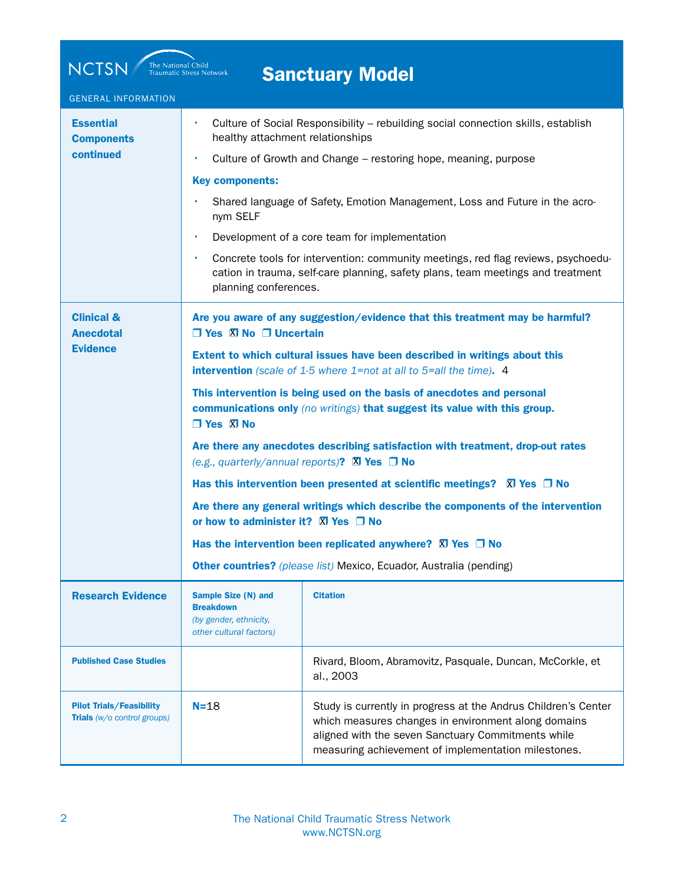| <b>NCTSN</b><br>The National Child<br>Traumatic Stress Network<br><b>Sanctuary Model</b> |                                                                                                                                                          |                                                                                                                                                                                                                                    |  |  |
|------------------------------------------------------------------------------------------|----------------------------------------------------------------------------------------------------------------------------------------------------------|------------------------------------------------------------------------------------------------------------------------------------------------------------------------------------------------------------------------------------|--|--|
| <b>GENERAL INFORMATION</b>                                                               |                                                                                                                                                          |                                                                                                                                                                                                                                    |  |  |
| <b>Essential</b><br><b>Components</b><br>continued                                       | ٠<br>healthy attachment relationships                                                                                                                    | Culture of Social Responsibility - rebuilding social connection skills, establish                                                                                                                                                  |  |  |
|                                                                                          |                                                                                                                                                          | Culture of Growth and Change – restoring hope, meaning, purpose                                                                                                                                                                    |  |  |
|                                                                                          | <b>Key components:</b>                                                                                                                                   |                                                                                                                                                                                                                                    |  |  |
|                                                                                          | nym SELF                                                                                                                                                 | Shared language of Safety, Emotion Management, Loss and Future in the acro-                                                                                                                                                        |  |  |
|                                                                                          | ٠                                                                                                                                                        | Development of a core team for implementation                                                                                                                                                                                      |  |  |
|                                                                                          | ٠<br>planning conferences.                                                                                                                               | Concrete tools for intervention: community meetings, red flag reviews, psychoedu-<br>cation in trauma, self-care planning, safety plans, team meetings and treatment                                                               |  |  |
| <b>Clinical &amp;</b><br><b>Anecdotal</b>                                                | $\Box$ Yes $\Box$ No $\Box$ Uncertain                                                                                                                    | Are you aware of any suggestion/evidence that this treatment may be harmful?                                                                                                                                                       |  |  |
| <b>Evidence</b>                                                                          | Extent to which cultural issues have been described in writings about this<br><b>intervention</b> (scale of 1-5 where 1=not at all to 5=all the time). 4 |                                                                                                                                                                                                                                    |  |  |
|                                                                                          | $\Box$ Yes $\Box$ No                                                                                                                                     | This intervention is being used on the basis of anecdotes and personal<br>communications only (no writings) that suggest its value with this group.                                                                                |  |  |
|                                                                                          |                                                                                                                                                          | Are there any anecdotes describing satisfaction with treatment, drop-out rates<br>(e.g., quarterly/annual reports)? $\boxtimes$ Yes $\Box$ No                                                                                      |  |  |
|                                                                                          |                                                                                                                                                          | Has this intervention been presented at scientific meetings? $\boxtimes$ Yes $\Box$ No                                                                                                                                             |  |  |
|                                                                                          | Are there any general writings which describe the components of the intervention<br>or how to administer it? $\boxtimes$ Yes $\Box$ No                   |                                                                                                                                                                                                                                    |  |  |
|                                                                                          |                                                                                                                                                          | Has the intervention been replicated anywhere? $\boxtimes$ Yes $\Box$ No                                                                                                                                                           |  |  |
|                                                                                          |                                                                                                                                                          | Other countries? (please list) Mexico, Ecuador, Australia (pending)                                                                                                                                                                |  |  |
| <b>Research Evidence</b>                                                                 | Sample Size (N) and<br><b>Breakdown</b><br>(by gender, ethnicity,<br>other cultural factors)                                                             | <b>Citation</b>                                                                                                                                                                                                                    |  |  |
| <b>Published Case Studies</b>                                                            |                                                                                                                                                          | Rivard, Bloom, Abramovitz, Pasquale, Duncan, McCorkle, et<br>al., 2003                                                                                                                                                             |  |  |
| <b>Pilot Trials/Feasibility</b><br>Trials (w/o control groups)                           | $N=18$                                                                                                                                                   | Study is currently in progress at the Andrus Children's Center<br>which measures changes in environment along domains<br>aligned with the seven Sanctuary Commitments while<br>measuring achievement of implementation milestones. |  |  |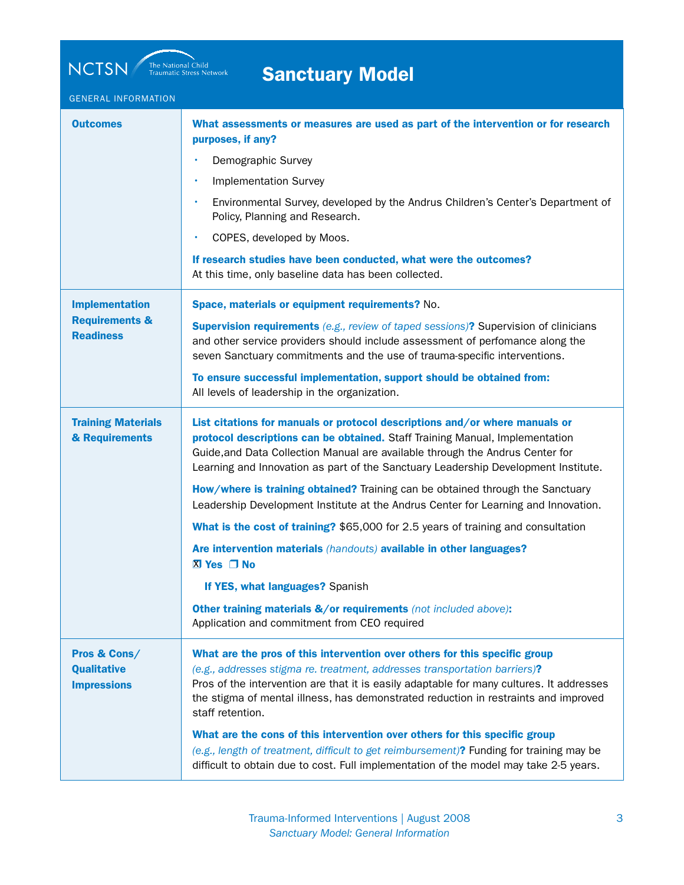NCTSN The National Child Traumatic Stress Network

## Sanctuary Model

## GENERAL INFORMATION

| <b>Outcomes</b>                                          | What assessments or measures are used as part of the intervention or for research<br>purposes, if any?                                                                                                                                                                                                                                                          |
|----------------------------------------------------------|-----------------------------------------------------------------------------------------------------------------------------------------------------------------------------------------------------------------------------------------------------------------------------------------------------------------------------------------------------------------|
|                                                          | Demographic Survey                                                                                                                                                                                                                                                                                                                                              |
|                                                          | <b>Implementation Survey</b>                                                                                                                                                                                                                                                                                                                                    |
|                                                          | Environmental Survey, developed by the Andrus Children's Center's Department of<br>$\bullet$<br>Policy, Planning and Research.                                                                                                                                                                                                                                  |
|                                                          | COPES, developed by Moos.                                                                                                                                                                                                                                                                                                                                       |
|                                                          | If research studies have been conducted, what were the outcomes?<br>At this time, only baseline data has been collected.                                                                                                                                                                                                                                        |
| <b>Implementation</b>                                    | Space, materials or equipment requirements? No.                                                                                                                                                                                                                                                                                                                 |
| <b>Requirements &amp;</b><br><b>Readiness</b>            | <b>Supervision requirements</b> (e.g., review of taped sessions)? Supervision of clinicians<br>and other service providers should include assessment of perfomance along the<br>seven Sanctuary commitments and the use of trauma-specific interventions.                                                                                                       |
|                                                          | To ensure successful implementation, support should be obtained from:<br>All levels of leadership in the organization.                                                                                                                                                                                                                                          |
| <b>Training Materials</b><br>& Requirements              | List citations for manuals or protocol descriptions and/or where manuals or<br>protocol descriptions can be obtained. Staff Training Manual, Implementation<br>Guide, and Data Collection Manual are available through the Andrus Center for<br>Learning and Innovation as part of the Sanctuary Leadership Development Institute.                              |
|                                                          | How/where is training obtained? Training can be obtained through the Sanctuary<br>Leadership Development Institute at the Andrus Center for Learning and Innovation.                                                                                                                                                                                            |
|                                                          | What is the cost of training? \$65,000 for 2.5 years of training and consultation                                                                                                                                                                                                                                                                               |
|                                                          | Are intervention materials (handouts) available in other languages?<br>$X$ Yes $\Box$ No                                                                                                                                                                                                                                                                        |
|                                                          | If YES, what languages? Spanish                                                                                                                                                                                                                                                                                                                                 |
|                                                          | Other training materials &/or requirements (not included above):<br>Application and commitment from CEO required                                                                                                                                                                                                                                                |
| Pros & Cons/<br><b>Qualitative</b><br><b>Impressions</b> | What are the pros of this intervention over others for this specific group<br>(e.g., addresses stigma re. treatment, addresses transportation barriers)?<br>Pros of the intervention are that it is easily adaptable for many cultures. It addresses<br>the stigma of mental illness, has demonstrated reduction in restraints and improved<br>staff retention. |
|                                                          | What are the cons of this intervention over others for this specific group<br>(e.g., length of treatment, difficult to get reimbursement)? Funding for training may be<br>difficult to obtain due to cost. Full implementation of the model may take 2-5 years.                                                                                                 |